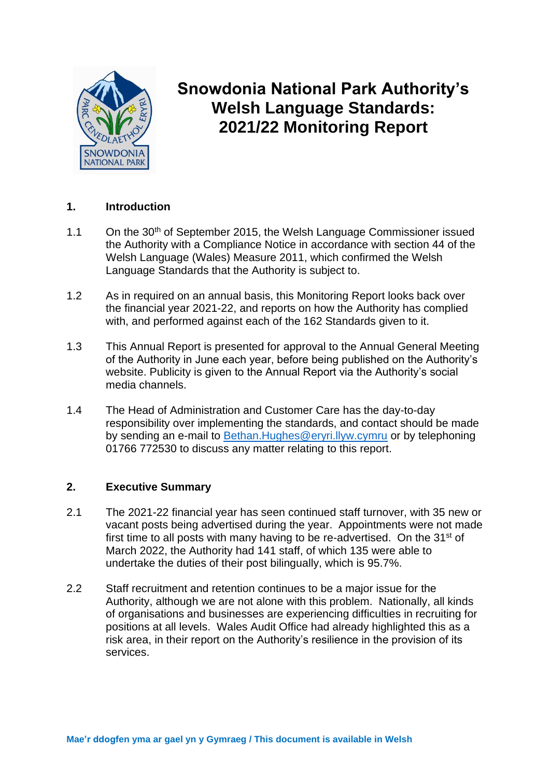

# **Snowdonia National Park Authority's Welsh Language Standards: 2021/22 Monitoring Report**

# **1. Introduction**

- 1.1 On the 30<sup>th</sup> of September 2015, the Welsh Language Commissioner issued the Authority with a Compliance Notice in accordance with section 44 of the Welsh Language (Wales) Measure 2011, which confirmed the Welsh Language Standards that the Authority is subject to.
- 1.2 As in required on an annual basis, this Monitoring Report looks back over the financial year 2021-22, and reports on how the Authority has complied with, and performed against each of the 162 Standards given to it.
- 1.3 This Annual Report is presented for approval to the Annual General Meeting of the Authority in June each year, before being published on the Authority's website. Publicity is given to the Annual Report via the Authority's social media channels.
- 1.4 The Head of Administration and Customer Care has the day-to-day responsibility over implementing the standards, and contact should be made by sending an e-mail to Bethan.Hughes@eryri.llyw.cymru or by telephoning 01766 772530 to discuss any matter relating to this report.

#### **2. Executive Summary**

- 2.1 The 2021-22 financial year has seen continued staff turnover, with 35 new or vacant posts being advertised during the year. Appointments were not made first time to all posts with many having to be re-advertised. On the 31st of March 2022, the Authority had 141 staff, of which 135 were able to undertake the duties of their post bilingually, which is 95.7%.
- 2.2 Staff recruitment and retention continues to be a major issue for the Authority, although we are not alone with this problem. Nationally, all kinds of organisations and businesses are experiencing difficulties in recruiting for positions at all levels. Wales Audit Office had already highlighted this as a risk area, in their report on the Authority's resilience in the provision of its services.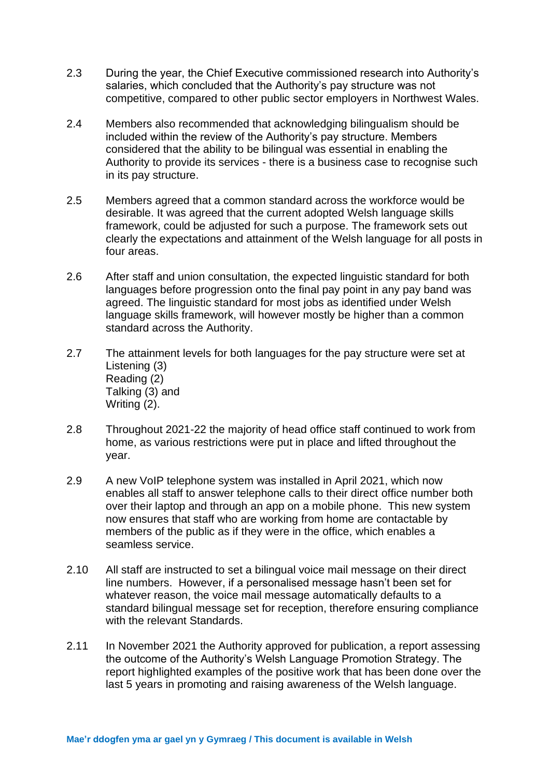- 2.3 During the year, the Chief Executive commissioned research into Authority's salaries, which concluded that the Authority's pay structure was not competitive, compared to other public sector employers in Northwest Wales.
- 2.4 Members also recommended that acknowledging bilingualism should be included within the review of the Authority's pay structure. Members considered that the ability to be bilingual was essential in enabling the Authority to provide its services - there is a business case to recognise such in its pay structure.
- 2.5 Members agreed that a common standard across the workforce would be desirable. It was agreed that the current adopted Welsh language skills framework, could be adjusted for such a purpose. The framework sets out clearly the expectations and attainment of the Welsh language for all posts in four areas.
- 2.6 After staff and union consultation, the expected linguistic standard for both languages before progression onto the final pay point in any pay band was agreed. The linguistic standard for most jobs as identified under Welsh language skills framework, will however mostly be higher than a common standard across the Authority.
- 2.7 The attainment levels for both languages for the pay structure were set at Listening (3) Reading (2) Talking (3) and Writing (2).
- 2.8 Throughout 2021-22 the majority of head office staff continued to work from home, as various restrictions were put in place and lifted throughout the year.
- 2.9 A new VoIP telephone system was installed in April 2021, which now enables all staff to answer telephone calls to their direct office number both over their laptop and through an app on a mobile phone. This new system now ensures that staff who are working from home are contactable by members of the public as if they were in the office, which enables a seamless service.
- 2.10 All staff are instructed to set a bilingual voice mail message on their direct line numbers. However, if a personalised message hasn't been set for whatever reason, the voice mail message automatically defaults to a standard bilingual message set for reception, therefore ensuring compliance with the relevant Standards.
- 2.11 In November 2021 the Authority approved for publication, a report assessing the outcome of the Authority's Welsh Language Promotion Strategy. The report highlighted examples of the positive work that has been done over the last 5 years in promoting and raising awareness of the Welsh language.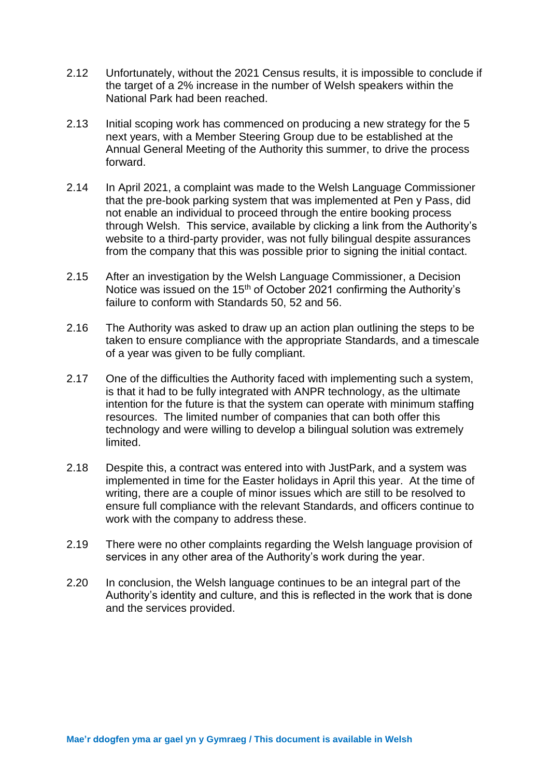- 2.12 Unfortunately, without the 2021 Census results, it is impossible to conclude if the target of a 2% increase in the number of Welsh speakers within the National Park had been reached.
- 2.13 Initial scoping work has commenced on producing a new strategy for the 5 next years, with a Member Steering Group due to be established at the Annual General Meeting of the Authority this summer, to drive the process forward.
- 2.14 In April 2021, a complaint was made to the Welsh Language Commissioner that the pre-book parking system that was implemented at Pen y Pass, did not enable an individual to proceed through the entire booking process through Welsh. This service, available by clicking a link from the Authority's website to a third-party provider, was not fully bilingual despite assurances from the company that this was possible prior to signing the initial contact.
- 2.15 After an investigation by the Welsh Language Commissioner, a Decision Notice was issued on the 15<sup>th</sup> of October 2021 confirming the Authority's failure to conform with Standards 50, 52 and 56.
- 2.16 The Authority was asked to draw up an action plan outlining the steps to be taken to ensure compliance with the appropriate Standards, and a timescale of a year was given to be fully compliant.
- 2.17 One of the difficulties the Authority faced with implementing such a system, is that it had to be fully integrated with ANPR technology, as the ultimate intention for the future is that the system can operate with minimum staffing resources. The limited number of companies that can both offer this technology and were willing to develop a bilingual solution was extremely limited.
- 2.18 Despite this, a contract was entered into with JustPark, and a system was implemented in time for the Easter holidays in April this year. At the time of writing, there are a couple of minor issues which are still to be resolved to ensure full compliance with the relevant Standards, and officers continue to work with the company to address these.
- 2.19 There were no other complaints regarding the Welsh language provision of services in any other area of the Authority's work during the year.
- 2.20 In conclusion, the Welsh language continues to be an integral part of the Authority's identity and culture, and this is reflected in the work that is done and the services provided.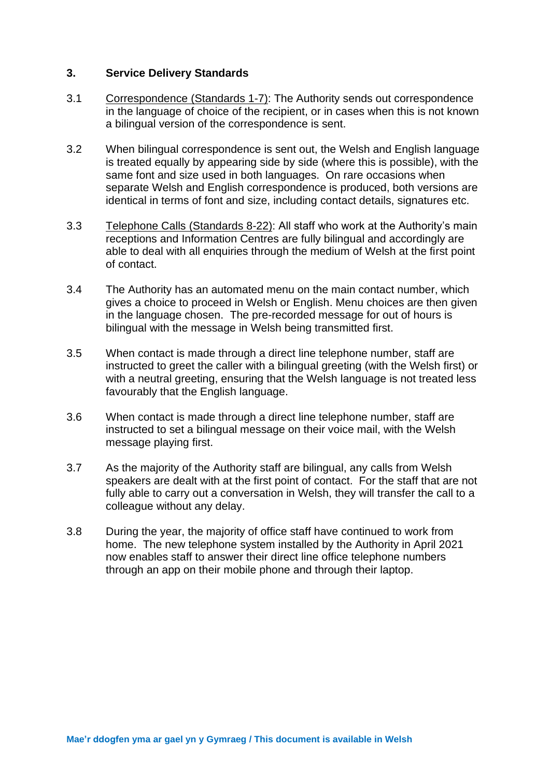#### **3. Service Delivery Standards**

- 3.1 Correspondence (Standards 1-7): The Authority sends out correspondence in the language of choice of the recipient, or in cases when this is not known a bilingual version of the correspondence is sent.
- 3.2 When bilingual correspondence is sent out, the Welsh and English language is treated equally by appearing side by side (where this is possible), with the same font and size used in both languages. On rare occasions when separate Welsh and English correspondence is produced, both versions are identical in terms of font and size, including contact details, signatures etc.
- 3.3 Telephone Calls (Standards 8-22): All staff who work at the Authority's main receptions and Information Centres are fully bilingual and accordingly are able to deal with all enquiries through the medium of Welsh at the first point of contact.
- 3.4 The Authority has an automated menu on the main contact number, which gives a choice to proceed in Welsh or English. Menu choices are then given in the language chosen. The pre-recorded message for out of hours is bilingual with the message in Welsh being transmitted first.
- 3.5 When contact is made through a direct line telephone number, staff are instructed to greet the caller with a bilingual greeting (with the Welsh first) or with a neutral greeting, ensuring that the Welsh language is not treated less favourably that the English language.
- 3.6 When contact is made through a direct line telephone number, staff are instructed to set a bilingual message on their voice mail, with the Welsh message playing first.
- 3.7 As the majority of the Authority staff are bilingual, any calls from Welsh speakers are dealt with at the first point of contact. For the staff that are not fully able to carry out a conversation in Welsh, they will transfer the call to a colleague without any delay.
- 3.8 During the year, the majority of office staff have continued to work from home. The new telephone system installed by the Authority in April 2021 now enables staff to answer their direct line office telephone numbers through an app on their mobile phone and through their laptop.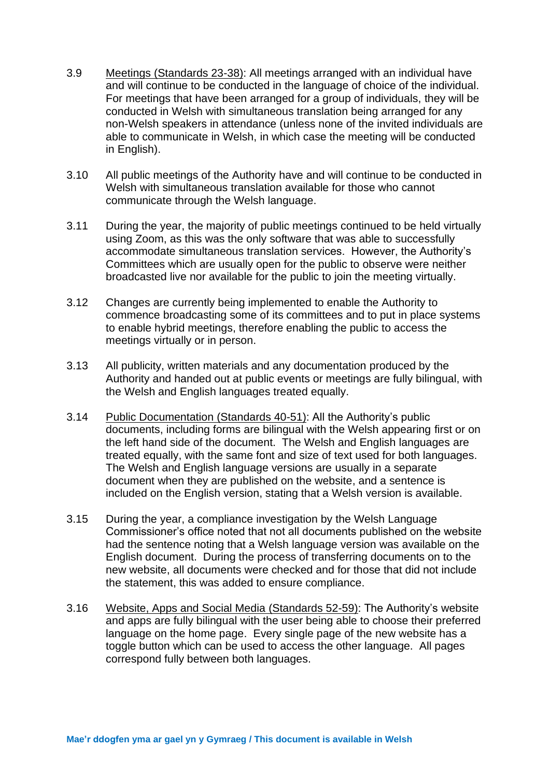- 3.9 Meetings (Standards 23-38): All meetings arranged with an individual have and will continue to be conducted in the language of choice of the individual. For meetings that have been arranged for a group of individuals, they will be conducted in Welsh with simultaneous translation being arranged for any non-Welsh speakers in attendance (unless none of the invited individuals are able to communicate in Welsh, in which case the meeting will be conducted in English).
- 3.10 All public meetings of the Authority have and will continue to be conducted in Welsh with simultaneous translation available for those who cannot communicate through the Welsh language.
- 3.11 During the year, the majority of public meetings continued to be held virtually using Zoom, as this was the only software that was able to successfully accommodate simultaneous translation services. However, the Authority's Committees which are usually open for the public to observe were neither broadcasted live nor available for the public to join the meeting virtually.
- 3.12 Changes are currently being implemented to enable the Authority to commence broadcasting some of its committees and to put in place systems to enable hybrid meetings, therefore enabling the public to access the meetings virtually or in person.
- 3.13 All publicity, written materials and any documentation produced by the Authority and handed out at public events or meetings are fully bilingual, with the Welsh and English languages treated equally.
- 3.14 Public Documentation (Standards 40-51): All the Authority's public documents, including forms are bilingual with the Welsh appearing first or on the left hand side of the document. The Welsh and English languages are treated equally, with the same font and size of text used for both languages. The Welsh and English language versions are usually in a separate document when they are published on the website, and a sentence is included on the English version, stating that a Welsh version is available.
- 3.15 During the year, a compliance investigation by the Welsh Language Commissioner's office noted that not all documents published on the website had the sentence noting that a Welsh language version was available on the English document. During the process of transferring documents on to the new website, all documents were checked and for those that did not include the statement, this was added to ensure compliance.
- 3.16 Website, Apps and Social Media (Standards 52-59): The Authority's website and apps are fully bilingual with the user being able to choose their preferred language on the home page. Every single page of the new website has a toggle button which can be used to access the other language. All pages correspond fully between both languages.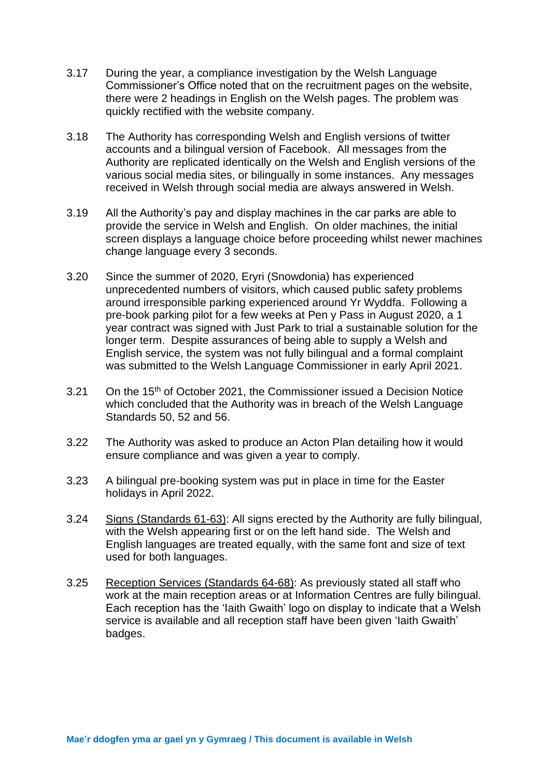- 3.17 During the year, a compliance investigation by the Welsh Language Commissioner's Office noted that on the recruitment pages on the website, there were 2 headings in English on the Welsh pages. The problem was quickly rectified with the website company.
- 3.18 The Authority has corresponding Welsh and English versions of twitter accounts and a bilingual version of Facebook. All messages from the Authority are replicated identically on the Welsh and English versions of the various social media sites, or bilingually in some instances. Any messages received in Welsh through social media are always answered in Welsh.
- 3.19 All the Authority's pay and display machines in the car parks are able to provide the service in Welsh and English. On older machines, the initial screen displays a language choice before proceeding whilst newer machines change language every 3 seconds.
- 3.20 Since the summer of 2020, Eryri (Snowdonia) has experienced unprecedented numbers of visitors, which caused public safety problems around irresponsible parking experienced around Yr Wyddfa. Following a pre-book parking pilot for a few weeks at Pen y Pass in August 2020, a 1 year contract was signed with Just Park to trial a sustainable solution for the longer term. Despite assurances of being able to supply a Welsh and English service, the system was not fully bilingual and a formal complaint was submitted to the Welsh Language Commissioner in early April 2021.
- 3.21 On the 15<sup>th</sup> of October 2021, the Commissioner issued a Decision Notice which concluded that the Authority was in breach of the Welsh Language Standards 50, 52 and 56.
- 3.22 The Authority was asked to produce an Acton Plan detailing how it would ensure compliance and was given a year to comply.
- 3.23 A bilingual pre-booking system was put in place in time for the Easter holidays in April 2022.
- 3.24 Signs (Standards 61-63): All signs erected by the Authority are fully bilingual, with the Welsh appearing first or on the left hand side. The Welsh and English languages are treated equally, with the same font and size of text used for both languages.
- 3.25 Reception Services (Standards 64-68): As previously stated all staff who work at the main reception areas or at Information Centres are fully bilingual. Each reception has the 'Iaith Gwaith' logo on display to indicate that a Welsh service is available and all reception staff have been given 'laith Gwaith' badges.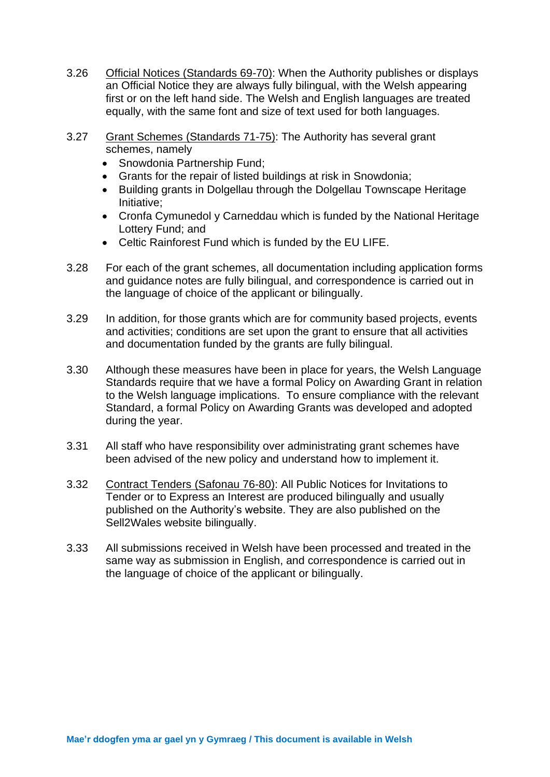- 3.26 Official Notices (Standards 69-70): When the Authority publishes or displays an Official Notice they are always fully bilingual, with the Welsh appearing first or on the left hand side. The Welsh and English languages are treated equally, with the same font and size of text used for both languages.
- 3.27 Grant Schemes (Standards 71-75): The Authority has several grant schemes, namely
	- Snowdonia Partnership Fund;
	- Grants for the repair of listed buildings at risk in Snowdonia;
	- Building grants in Dolgellau through the Dolgellau Townscape Heritage Initiative;
	- Cronfa Cymunedol y Carneddau which is funded by the National Heritage Lottery Fund; and
	- Celtic Rainforest Fund which is funded by the EU LIFE.
- 3.28 For each of the grant schemes, all documentation including application forms and guidance notes are fully bilingual, and correspondence is carried out in the language of choice of the applicant or bilingually.
- 3.29 In addition, for those grants which are for community based projects, events and activities; conditions are set upon the grant to ensure that all activities and documentation funded by the grants are fully bilingual.
- 3.30 Although these measures have been in place for years, the Welsh Language Standards require that we have a formal Policy on Awarding Grant in relation to the Welsh language implications. To ensure compliance with the relevant Standard, a formal Policy on Awarding Grants was developed and adopted during the year.
- 3.31 All staff who have responsibility over administrating grant schemes have been advised of the new policy and understand how to implement it.
- 3.32 Contract Tenders (Safonau 76-80): All Public Notices for Invitations to Tender or to Express an Interest are produced bilingually and usually published on the Authority's website. They are also published on the Sell2Wales website bilingually.
- 3.33 All submissions received in Welsh have been processed and treated in the same way as submission in English, and correspondence is carried out in the language of choice of the applicant or bilingually.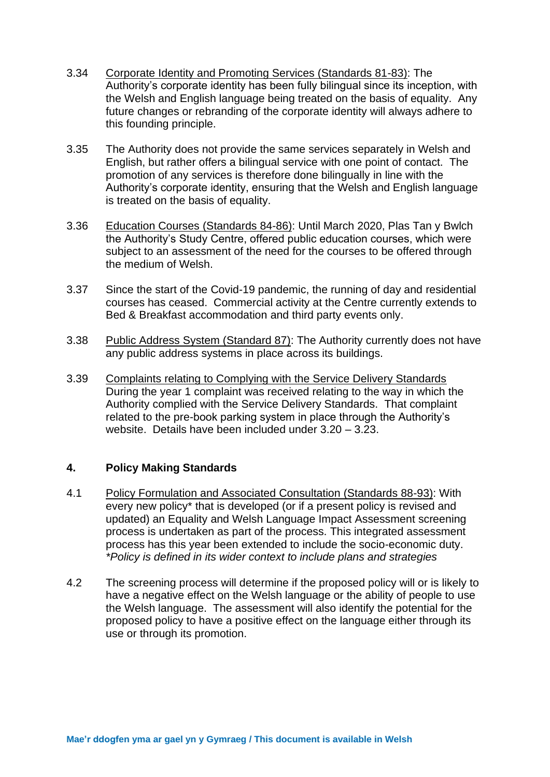- 3.34 Corporate Identity and Promoting Services (Standards 81-83): The Authority's corporate identity has been fully bilingual since its inception, with the Welsh and English language being treated on the basis of equality. Any future changes or rebranding of the corporate identity will always adhere to this founding principle.
- 3.35 The Authority does not provide the same services separately in Welsh and English, but rather offers a bilingual service with one point of contact. The promotion of any services is therefore done bilingually in line with the Authority's corporate identity, ensuring that the Welsh and English language is treated on the basis of equality.
- 3.36 Education Courses (Standards 84-86): Until March 2020, Plas Tan y Bwlch the Authority's Study Centre, offered public education courses, which were subject to an assessment of the need for the courses to be offered through the medium of Welsh.
- 3.37 Since the start of the Covid-19 pandemic, the running of day and residential courses has ceased. Commercial activity at the Centre currently extends to Bed & Breakfast accommodation and third party events only.
- 3.38 Public Address System (Standard 87): The Authority currently does not have any public address systems in place across its buildings.
- 3.39 Complaints relating to Complying with the Service Delivery Standards During the year 1 complaint was received relating to the way in which the Authority complied with the Service Delivery Standards. That complaint related to the pre-book parking system in place through the Authority's website. Details have been included under 3.20 – 3.23.

#### **4. Policy Making Standards**

- 4.1 Policy Formulation and Associated Consultation (Standards 88-93): With every new policy\* that is developed (or if a present policy is revised and updated) an Equality and Welsh Language Impact Assessment screening process is undertaken as part of the process. This integrated assessment process has this year been extended to include the socio-economic duty. *\*Policy is defined in its wider context to include plans and strategies*
- 4.2 The screening process will determine if the proposed policy will or is likely to have a negative effect on the Welsh language or the ability of people to use the Welsh language. The assessment will also identify the potential for the proposed policy to have a positive effect on the language either through its use or through its promotion.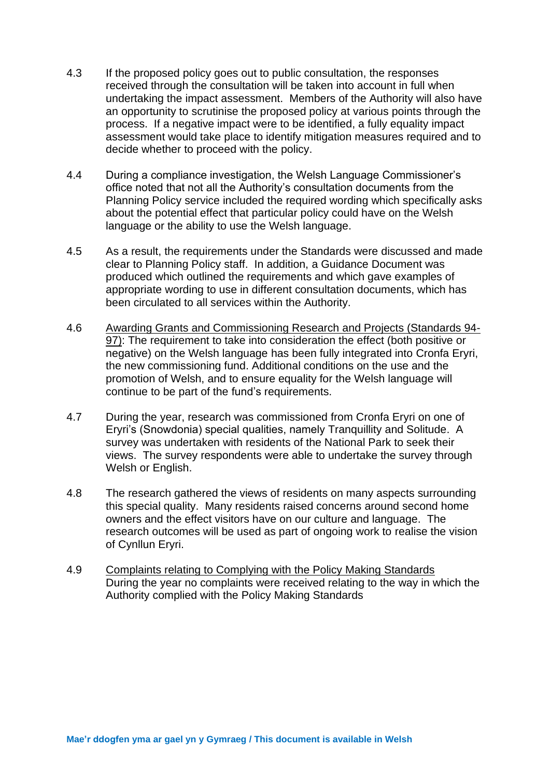- 4.3 If the proposed policy goes out to public consultation, the responses received through the consultation will be taken into account in full when undertaking the impact assessment. Members of the Authority will also have an opportunity to scrutinise the proposed policy at various points through the process. If a negative impact were to be identified, a fully equality impact assessment would take place to identify mitigation measures required and to decide whether to proceed with the policy.
- 4.4 During a compliance investigation, the Welsh Language Commissioner's office noted that not all the Authority's consultation documents from the Planning Policy service included the required wording which specifically asks about the potential effect that particular policy could have on the Welsh language or the ability to use the Welsh language.
- 4.5 As a result, the requirements under the Standards were discussed and made clear to Planning Policy staff. In addition, a Guidance Document was produced which outlined the requirements and which gave examples of appropriate wording to use in different consultation documents, which has been circulated to all services within the Authority.
- 4.6 Awarding Grants and Commissioning Research and Projects (Standards 94- 97): The requirement to take into consideration the effect (both positive or negative) on the Welsh language has been fully integrated into Cronfa Eryri, the new commissioning fund. Additional conditions on the use and the promotion of Welsh, and to ensure equality for the Welsh language will continue to be part of the fund's requirements.
- 4.7 During the year, research was commissioned from Cronfa Eryri on one of Eryri's (Snowdonia) special qualities, namely Tranquillity and Solitude. A survey was undertaken with residents of the National Park to seek their views. The survey respondents were able to undertake the survey through Welsh or English.
- 4.8 The research gathered the views of residents on many aspects surrounding this special quality. Many residents raised concerns around second home owners and the effect visitors have on our culture and language. The research outcomes will be used as part of ongoing work to realise the vision of Cynllun Eryri.
- 4.9 Complaints relating to Complying with the Policy Making Standards During the year no complaints were received relating to the way in which the Authority complied with the Policy Making Standards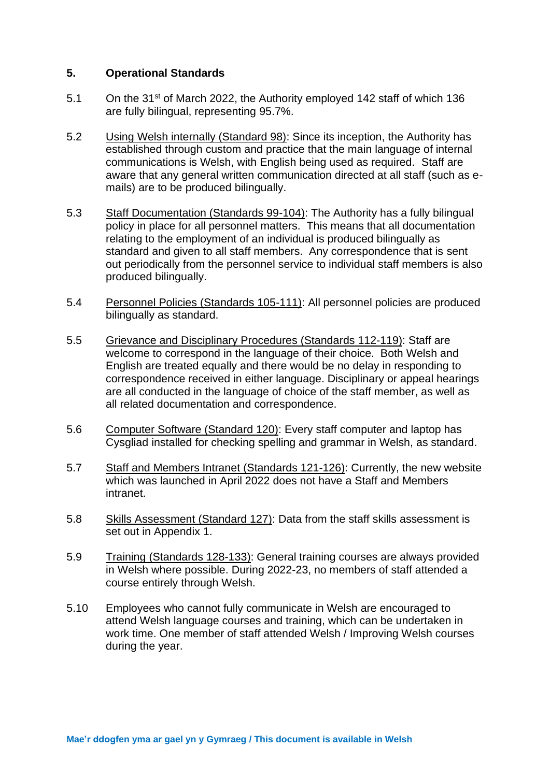#### **5. Operational Standards**

- 5.1 On the 31<sup>st</sup> of March 2022, the Authority employed 142 staff of which 136 are fully bilingual, representing 95.7%.
- 5.2 Using Welsh internally (Standard 98): Since its inception, the Authority has established through custom and practice that the main language of internal communications is Welsh, with English being used as required. Staff are aware that any general written communication directed at all staff (such as emails) are to be produced bilingually.
- 5.3 Staff Documentation (Standards 99-104): The Authority has a fully bilingual policy in place for all personnel matters. This means that all documentation relating to the employment of an individual is produced bilingually as standard and given to all staff members. Any correspondence that is sent out periodically from the personnel service to individual staff members is also produced bilingually.
- 5.4 Personnel Policies (Standards 105-111): All personnel policies are produced bilingually as standard.
- 5.5 Grievance and Disciplinary Procedures (Standards 112-119): Staff are welcome to correspond in the language of their choice. Both Welsh and English are treated equally and there would be no delay in responding to correspondence received in either language. Disciplinary or appeal hearings are all conducted in the language of choice of the staff member, as well as all related documentation and correspondence.
- 5.6 Computer Software (Standard 120): Every staff computer and laptop has Cysgliad installed for checking spelling and grammar in Welsh, as standard.
- 5.7 Staff and Members Intranet (Standards 121-126): Currently, the new website which was launched in April 2022 does not have a Staff and Members intranet.
- 5.8 Skills Assessment (Standard 127): Data from the staff skills assessment is set out in Appendix 1.
- 5.9 Training (Standards 128-133): General training courses are always provided in Welsh where possible. During 2022-23, no members of staff attended a course entirely through Welsh.
- 5.10 Employees who cannot fully communicate in Welsh are encouraged to attend Welsh language courses and training, which can be undertaken in work time. One member of staff attended Welsh / Improving Welsh courses during the year.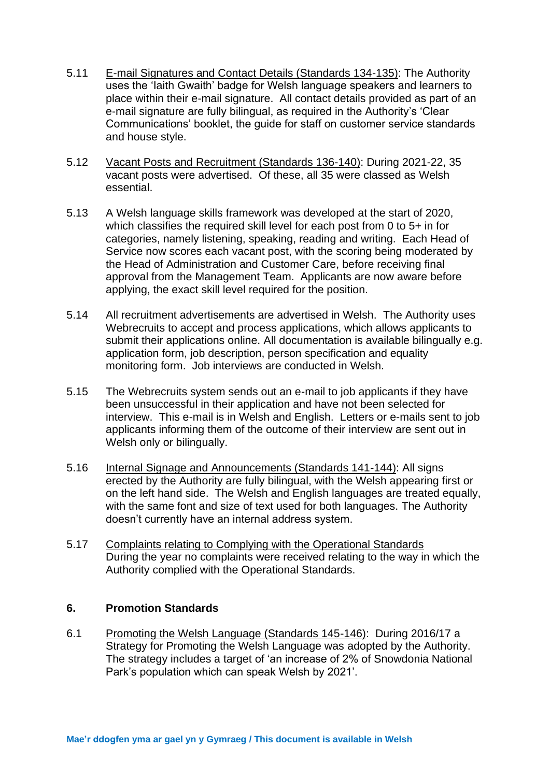- 5.11 E-mail Signatures and Contact Details (Standards 134-135): The Authority uses the 'Iaith Gwaith' badge for Welsh language speakers and learners to place within their e-mail signature. All contact details provided as part of an e-mail signature are fully bilingual, as required in the Authority's 'Clear Communications' booklet, the guide for staff on customer service standards and house style.
- 5.12 Vacant Posts and Recruitment (Standards 136-140): During 2021-22, 35 vacant posts were advertised. Of these, all 35 were classed as Welsh essential.
- 5.13 A Welsh language skills framework was developed at the start of 2020, which classifies the required skill level for each post from 0 to 5+ in for categories, namely listening, speaking, reading and writing. Each Head of Service now scores each vacant post, with the scoring being moderated by the Head of Administration and Customer Care, before receiving final approval from the Management Team. Applicants are now aware before applying, the exact skill level required for the position.
- 5.14 All recruitment advertisements are advertised in Welsh. The Authority uses Webrecruits to accept and process applications, which allows applicants to submit their applications online. All documentation is available bilingually e.g. application form, job description, person specification and equality monitoring form. Job interviews are conducted in Welsh.
- 5.15 The Webrecruits system sends out an e-mail to job applicants if they have been unsuccessful in their application and have not been selected for interview. This e-mail is in Welsh and English. Letters or e-mails sent to job applicants informing them of the outcome of their interview are sent out in Welsh only or bilingually.
- 5.16 Internal Signage and Announcements (Standards 141-144): All signs erected by the Authority are fully bilingual, with the Welsh appearing first or on the left hand side. The Welsh and English languages are treated equally, with the same font and size of text used for both languages. The Authority doesn't currently have an internal address system.
- 5.17 Complaints relating to Complying with the Operational Standards During the year no complaints were received relating to the way in which the Authority complied with the Operational Standards.

#### **6. Promotion Standards**

6.1 Promoting the Welsh Language (Standards 145-146): During 2016/17 a Strategy for Promoting the Welsh Language was adopted by the Authority. The strategy includes a target of 'an increase of 2% of Snowdonia National Park's population which can speak Welsh by 2021'.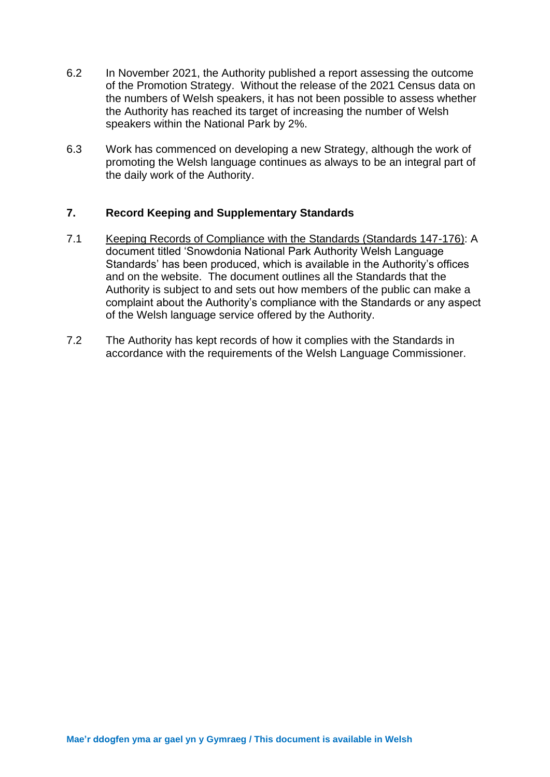- 6.2 In November 2021, the Authority published a report assessing the outcome of the Promotion Strategy. Without the release of the 2021 Census data on the numbers of Welsh speakers, it has not been possible to assess whether the Authority has reached its target of increasing the number of Welsh speakers within the National Park by 2%.
- 6.3 Work has commenced on developing a new Strategy, although the work of promoting the Welsh language continues as always to be an integral part of the daily work of the Authority.

#### **7. Record Keeping and Supplementary Standards**

- 7.1 Keeping Records of Compliance with the Standards (Standards 147-176): A document titled 'Snowdonia National Park Authority Welsh Language Standards' has been produced, which is available in the Authority's offices and on the website. The document outlines all the Standards that the Authority is subject to and sets out how members of the public can make a complaint about the Authority's compliance with the Standards or any aspect of the Welsh language service offered by the Authority.
- 7.2 The Authority has kept records of how it complies with the Standards in accordance with the requirements of the Welsh Language Commissioner.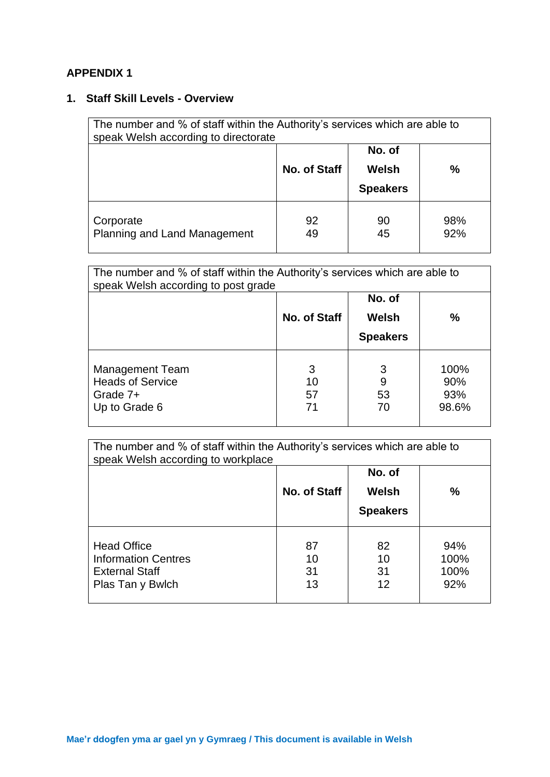# **APPENDIX 1**

# **1. Staff Skill Levels - Overview**

| The number and % of staff within the Authority's services which are able to<br>speak Welsh according to directorate |              |                                    |            |
|---------------------------------------------------------------------------------------------------------------------|--------------|------------------------------------|------------|
|                                                                                                                     | No. of Staff | No. of<br>Welsh<br><b>Speakers</b> | %          |
| Corporate<br><b>Planning and Land Management</b>                                                                    | 92<br>49     | 90<br>45                           | 98%<br>92% |

| The number and % of staff within the Authority's services which are able to<br>speak Welsh according to post grade |                     |                                    |                             |
|--------------------------------------------------------------------------------------------------------------------|---------------------|------------------------------------|-----------------------------|
|                                                                                                                    | No. of Staff        | No. of<br>Welsh<br><b>Speakers</b> | $\frac{0}{0}$               |
| <b>Management Team</b><br><b>Heads of Service</b><br>Grade 7+<br>Up to Grade 6                                     | 3<br>10<br>57<br>71 | 3<br>9<br>53<br>70                 | 100%<br>90%<br>93%<br>98.6% |

| The number and % of staff within the Authority's services which are able to<br>speak Welsh according to workplace |                      |                                    |                            |
|-------------------------------------------------------------------------------------------------------------------|----------------------|------------------------------------|----------------------------|
|                                                                                                                   | No. of Staff         | No. of<br>Welsh<br><b>Speakers</b> | $\frac{0}{0}$              |
| <b>Head Office</b><br><b>Information Centres</b><br><b>External Staff</b><br>Plas Tan y Bwlch                     | 87<br>10<br>31<br>13 | 82<br>10<br>31<br>12               | 94%<br>100%<br>100%<br>92% |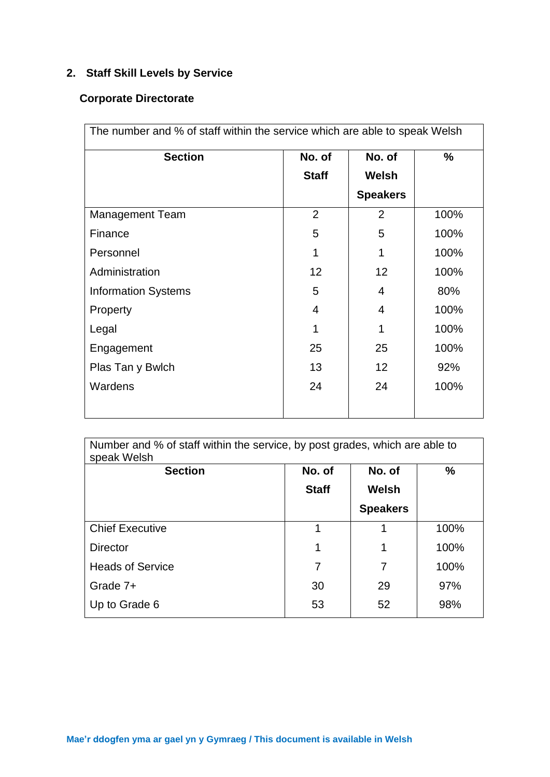# **2. Staff Skill Levels by Service**

# **Corporate Directorate**

| The number and % of staff within the service which are able to speak Welsh |                  |                 |      |
|----------------------------------------------------------------------------|------------------|-----------------|------|
| <b>Section</b>                                                             | No. of<br>No. of |                 | %    |
|                                                                            | <b>Staff</b>     | <b>Welsh</b>    |      |
|                                                                            |                  | <b>Speakers</b> |      |
| <b>Management Team</b>                                                     | $\overline{2}$   | 2               | 100% |
| Finance                                                                    | 5                | 5               | 100% |
| Personnel                                                                  | 1                | 1               | 100% |
| Administration                                                             | 12               | 12              | 100% |
| <b>Information Systems</b>                                                 | 5                | $\overline{4}$  | 80%  |
| Property                                                                   | 4                | 4               | 100% |
| Legal                                                                      | 1                | 1               | 100% |
| Engagement                                                                 | 25               | 25              | 100% |
| Plas Tan y Bwlch                                                           | 13               | 12              | 92%  |
| Wardens                                                                    | 24               | 24              | 100% |
|                                                                            |                  |                 |      |

| Number and % of staff within the service, by post grades, which are able to<br>speak Welsh |              |                 |      |
|--------------------------------------------------------------------------------------------|--------------|-----------------|------|
| <b>Section</b>                                                                             | No. of       | No. of          | $\%$ |
|                                                                                            | <b>Staff</b> | Welsh           |      |
|                                                                                            |              | <b>Speakers</b> |      |
| <b>Chief Executive</b>                                                                     | 1            | 1               | 100% |
| <b>Director</b>                                                                            | 1            | 1               | 100% |
| <b>Heads of Service</b>                                                                    | 7            | 7               | 100% |
| Grade 7+                                                                                   | 30           | 29              | 97%  |
| Up to Grade 6                                                                              | 53           | 52              | 98%  |